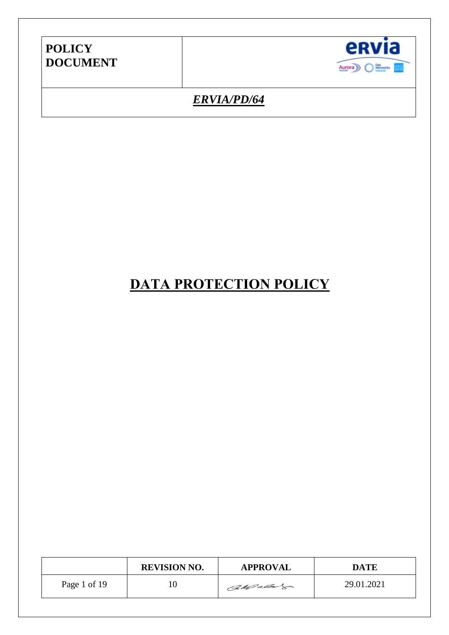

# **DATA PROTECTION POLICY**

|              | <b>REVISION NO.</b> | <b>APPROVAL</b> | <b>DATE</b> |
|--------------|---------------------|-----------------|-------------|
| Page 1 of 19 | 10                  | CaMulage        | 29.01.2021  |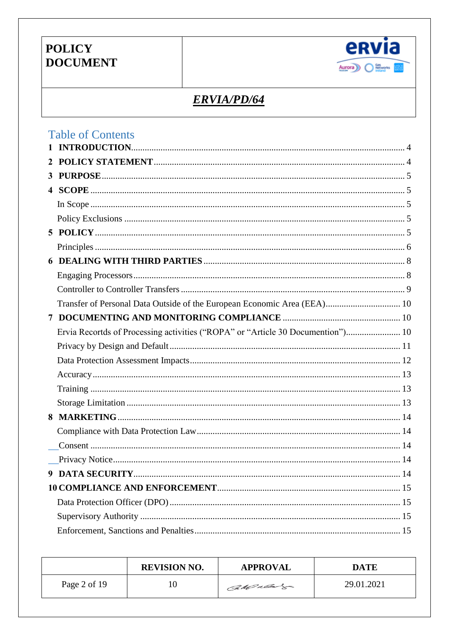

## **ERVIA/PD/64**

|                | <b>Table of Contents</b>                                                        |
|----------------|---------------------------------------------------------------------------------|
|                |                                                                                 |
| 2              |                                                                                 |
| 3              |                                                                                 |
| $\overline{4}$ |                                                                                 |
|                |                                                                                 |
|                |                                                                                 |
|                |                                                                                 |
|                |                                                                                 |
|                |                                                                                 |
|                |                                                                                 |
|                |                                                                                 |
|                | Transfer of Personal Data Outside of the European Economic Area (EEA) 10        |
| 7              |                                                                                 |
|                | Ervia Recortds of Processing activities ("ROPA" or "Article 30 Documention") 10 |
|                |                                                                                 |
|                |                                                                                 |
|                |                                                                                 |
|                |                                                                                 |
|                |                                                                                 |
|                |                                                                                 |
|                |                                                                                 |
|                |                                                                                 |
|                |                                                                                 |
| 9              |                                                                                 |
|                |                                                                                 |
|                |                                                                                 |
|                |                                                                                 |
|                |                                                                                 |

|              | <b>REVISION NO.</b> | <b>APPROVAL</b> | DATE       |
|--------------|---------------------|-----------------|------------|
| Page 2 of 19 | 10                  | CaMular         | 29.01.2021 |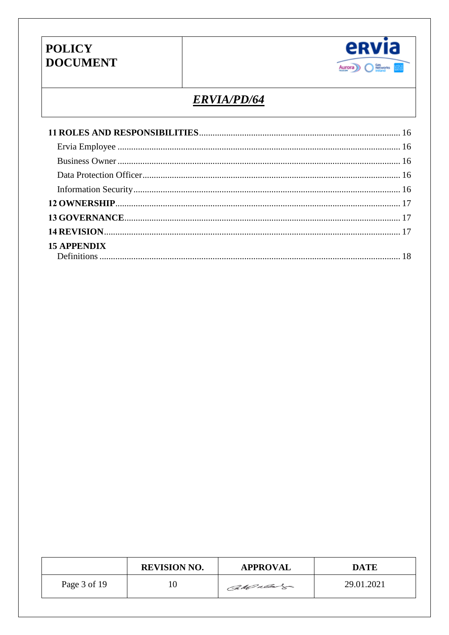

## **ERVIA/PD/64**

| <b>15 APPENDIX</b> |  |
|--------------------|--|
|                    |  |

|              | <b>REVISION NO.</b> | <b>APPROVAL</b> | <b>DATE</b> |
|--------------|---------------------|-----------------|-------------|
| Page 3 of 19 | 10                  | CMulas          | 29.01.2021  |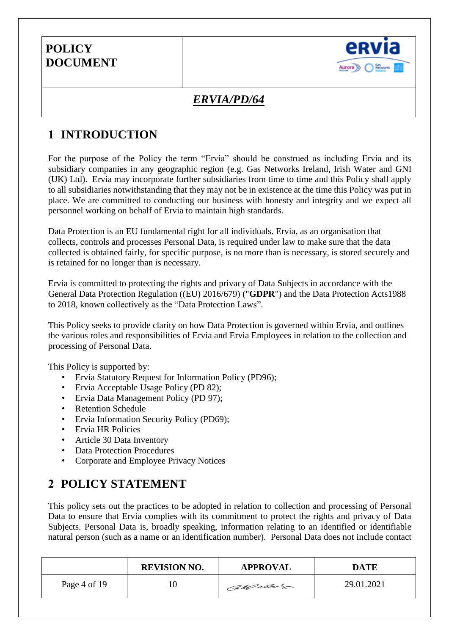

### *ERVIA/PD/64*

## <span id="page-3-0"></span>**1 INTRODUCTION**

For the purpose of the Policy the term "Ervia" should be construed as including Ervia and its subsidiary companies in any geographic region (e.g. Gas Networks Ireland, Irish Water and GNI (UK) Ltd). Ervia may incorporate further subsidiaries from time to time and this Policy shall apply to all subsidiaries notwithstanding that they may not be in existence at the time this Policy was put in place. We are committed to conducting our business with honesty and integrity and we expect all personnel working on behalf of Ervia to maintain high standards.

Data Protection is an EU fundamental right for all individuals. Ervia, as an organisation that collects, controls and processes Personal Data, is required under law to make sure that the data collected is obtained fairly, for specific purpose, is no more than is necessary, is stored securely and is retained for no longer than is necessary.

Ervia is committed to protecting the rights and privacy of Data Subjects in accordance with the General Data Protection Regulation ((EU) 2016/679) ("**GDPR**") and the Data Protection Acts1988 to 2018, known collectively as the "Data Protection Laws".

This Policy seeks to provide clarity on how Data Protection is governed within Ervia, and outlines the various roles and responsibilities of Ervia and Ervia Employees in relation to the collection and processing of Personal Data.

This Policy is supported by:

- Ervia Statutory Request for Information Policy (PD96);
- Ervia Acceptable Usage Policy (PD 82);
- Ervia Data Management Policy (PD 97);
- Retention Schedule
- Ervia Information Security Policy (PD69);
- Ervia HR Policies
- Article 30 Data Inventory
- Data Protection Procedures
- Corporate and Employee Privacy Notices

### <span id="page-3-1"></span>**2 POLICY STATEMENT**

This policy sets out the practices to be adopted in relation to collection and processing of Personal Data to ensure that Ervia complies with its commitment to protect the rights and privacy of Data Subjects. Personal Data is, broadly speaking, information relating to an identified or identifiable natural person (such as a name or an identification number). Personal Data does not include contact

|              | <b>REVISION NO.</b> | <b>APPROVAL</b> | <b>DATE</b> |
|--------------|---------------------|-----------------|-------------|
| Page 4 of 19 | 10                  | CMulas          | 29.01.2021  |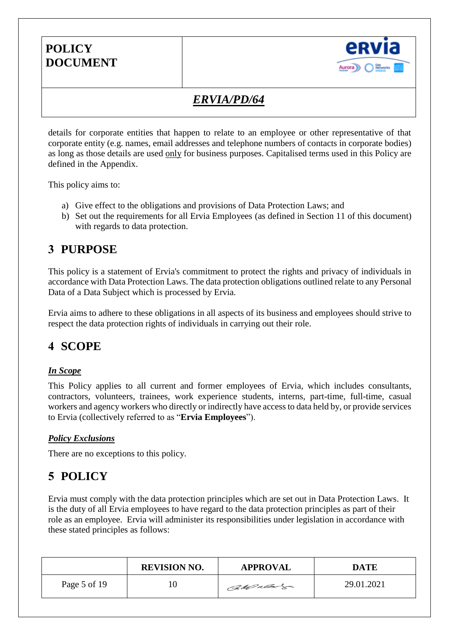

## *ERVIA/PD/64*

details for corporate entities that happen to relate to an employee or other representative of that corporate entity (e.g. names, email addresses and telephone numbers of contacts in corporate bodies) as long as those details are used only for business purposes. Capitalised terms used in this Policy are defined in the Appendix.

This policy aims to:

- a) Give effect to the obligations and provisions of Data Protection Laws; and
- b) Set out the requirements for all Ervia Employees (as defined in Section 11 of this document) with regards to data protection.

### <span id="page-4-0"></span>**3 PURPOSE**

This policy is a statement of Ervia's commitment to protect the rights and privacy of individuals in accordance with Data Protection Laws. The data protection obligations outlined relate to any Personal Data of a Data Subject which is processed by Ervia.

Ervia aims to adhere to these obligations in all aspects of its business and employees should strive to respect the data protection rights of individuals in carrying out their role.

### <span id="page-4-1"></span>**4 SCOPE**

### <span id="page-4-2"></span>*In Scope*

This Policy applies to all current and former employees of Ervia, which includes consultants, contractors, volunteers, trainees, work experience students, interns, part-time, full-time, casual workers and agency workers who directly or indirectly have access to data held by, or provide services to Ervia (collectively referred to as "**Ervia Employees**").

### <span id="page-4-3"></span>*Policy Exclusions*

There are no exceptions to this policy.

### <span id="page-4-4"></span>**5 POLICY**

Ervia must comply with the data protection principles which are set out in Data Protection Laws. It is the duty of all Ervia employees to have regard to the data protection principles as part of their role as an employee. Ervia will administer its responsibilities under legislation in accordance with these stated principles as follows:

|              | <b>REVISION NO.</b> | <b>APPROVAL</b> | <b>DATE</b> |
|--------------|---------------------|-----------------|-------------|
| Page 5 of 19 | 10                  | CMulas          | 29.01.2021  |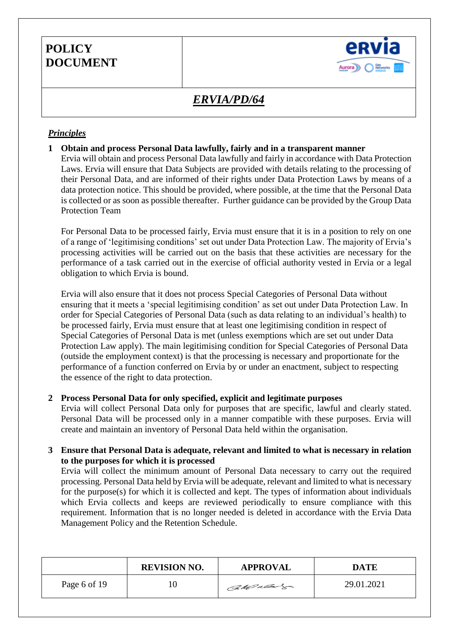

### *ERVIA/PD/64*

### <span id="page-5-0"></span>*Principles*

#### **1 Obtain and process Personal Data lawfully, fairly and in a transparent manner**

Ervia will obtain and process Personal Data lawfully and fairly in accordance with Data Protection Laws. Ervia will ensure that Data Subjects are provided with details relating to the processing of their Personal Data, and are informed of their rights under Data Protection Laws by means of a data protection notice. This should be provided, where possible, at the time that the Personal Data is collected or as soon as possible thereafter. Further guidance can be provided by the Group Data Protection Team

For Personal Data to be processed fairly, Ervia must ensure that it is in a position to rely on one of a range of 'legitimising conditions' set out under Data Protection Law. The majority of Ervia's processing activities will be carried out on the basis that these activities are necessary for the performance of a task carried out in the exercise of official authority vested in Ervia or a legal obligation to which Ervia is bound.

Ervia will also ensure that it does not process Special Categories of Personal Data without ensuring that it meets a 'special legitimising condition' as set out under Data Protection Law. In order for Special Categories of Personal Data (such as data relating to an individual's health) to be processed fairly, Ervia must ensure that at least one legitimising condition in respect of Special Categories of Personal Data is met (unless exemptions which are set out under Data Protection Law apply). The main legitimising condition for Special Categories of Personal Data (outside the employment context) is that the processing is necessary and proportionate for the performance of a function conferred on Ervia by or under an enactment, subject to respecting the essence of the right to data protection.

#### **2 Process Personal Data for only specified, explicit and legitimate purposes**

Ervia will collect Personal Data only for purposes that are specific, lawful and clearly stated. Personal Data will be processed only in a manner compatible with these purposes. Ervia will create and maintain an inventory of Personal Data held within the organisation.

**3 Ensure that Personal Data is adequate, relevant and limited to what is necessary in relation to the purposes for which it is processed**

Ervia will collect the minimum amount of Personal Data necessary to carry out the required processing. Personal Data held by Ervia will be adequate, relevant and limited to what is necessary for the purpose(s) for which it is collected and kept. The types of information about individuals which Ervia collects and keeps are reviewed periodically to ensure compliance with this requirement. Information that is no longer needed is deleted in accordance with the Ervia Data Management Policy and the Retention Schedule.

|              | <b>REVISION NO.</b> | <b>APPROVAL</b> | <b>DATE</b> |
|--------------|---------------------|-----------------|-------------|
| Page 6 of 19 | 10                  | CaMulage        | 29.01.2021  |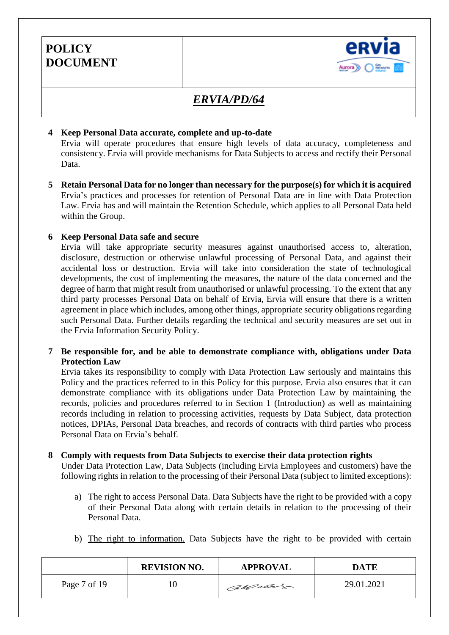**DOCUMENT**

**POLICY**



### *ERVIA/PD/64*

#### **4 Keep Personal Data accurate, complete and up-to-date**

Ervia will operate procedures that ensure high levels of data accuracy, completeness and consistency. Ervia will provide mechanisms for Data Subjects to access and rectify their Personal Data.

**5 Retain Personal Data for no longer than necessary for the purpose(s) for which it is acquired** Ervia's practices and processes for retention of Personal Data are in line with Data Protection Law. Ervia has and will maintain the Retention Schedule, which applies to all Personal Data held within the Group.

### **6 Keep Personal Data safe and secure**

Ervia will take appropriate security measures against unauthorised access to, alteration, disclosure, destruction or otherwise unlawful processing of Personal Data, and against their accidental loss or destruction. Ervia will take into consideration the state of technological developments, the cost of implementing the measures, the nature of the data concerned and the degree of harm that might result from unauthorised or unlawful processing. To the extent that any third party processes Personal Data on behalf of Ervia, Ervia will ensure that there is a written agreement in place which includes, among other things, appropriate security obligations regarding such Personal Data. Further details regarding the technical and security measures are set out in the Ervia Information Security Policy.

#### **7 Be responsible for, and be able to demonstrate compliance with, obligations under Data Protection Law**

Ervia takes its responsibility to comply with Data Protection Law seriously and maintains this Policy and the practices referred to in this Policy for this purpose. Ervia also ensures that it can demonstrate compliance with its obligations under Data Protection Law by maintaining the records, policies and procedures referred to in Section 1 (Introduction) as well as maintaining records including in relation to processing activities, requests by Data Subject, data protection notices, DPIAs, Personal Data breaches, and records of contracts with third parties who process Personal Data on Ervia's behalf.

#### **8 Comply with requests from Data Subjects to exercise their data protection rights**

Under Data Protection Law, Data Subjects (including Ervia Employees and customers) have the following rights in relation to the processing of their Personal Data (subject to limited exceptions):

- a) The right to access Personal Data. Data Subjects have the right to be provided with a copy of their Personal Data along with certain details in relation to the processing of their Personal Data.
- b) The right to information. Data Subjects have the right to be provided with certain

|              | <b>REVISION NO.</b> | <b>APPROVAL</b> | <b>DATE</b> |
|--------------|---------------------|-----------------|-------------|
| Page 7 of 19 | 10                  | CaMulas         | 29.01.2021  |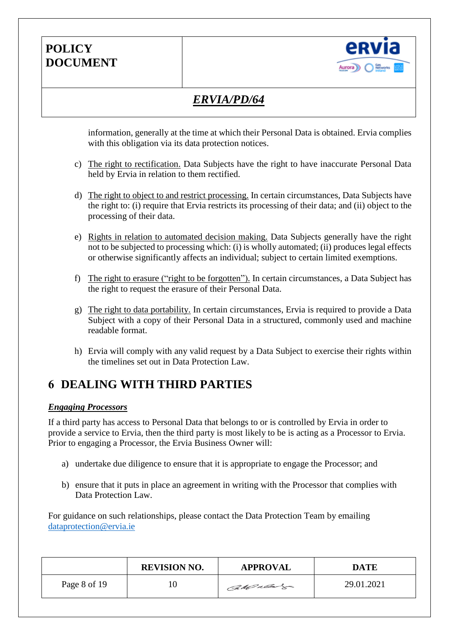

## *ERVIA/PD/64*

information, generally at the time at which their Personal Data is obtained. Ervia complies with this obligation via its data protection notices.

- c) The right to rectification. Data Subjects have the right to have inaccurate Personal Data held by Ervia in relation to them rectified.
- d) The right to object to and restrict processing. In certain circumstances, Data Subjects have the right to: (i) require that Ervia restricts its processing of their data; and (ii) object to the processing of their data.
- e) Rights in relation to automated decision making. Data Subjects generally have the right not to be subjected to processing which: (i) is wholly automated; (ii) produces legal effects or otherwise significantly affects an individual; subject to certain limited exemptions.
- f) The right to erasure ("right to be forgotten"). In certain circumstances, a Data Subject has the right to request the erasure of their Personal Data.
- g) The right to data portability. In certain circumstances, Ervia is required to provide a Data Subject with a copy of their Personal Data in a structured, commonly used and machine readable format.
- h) Ervia will comply with any valid request by a Data Subject to exercise their rights within the timelines set out in Data Protection Law.

### <span id="page-7-0"></span>**6 DEALING WITH THIRD PARTIES**

### <span id="page-7-1"></span>*Engaging Processors*

If a third party has access to Personal Data that belongs to or is controlled by Ervia in order to provide a service to Ervia, then the third party is most likely to be is acting as a Processor to Ervia. Prior to engaging a Processor, the Ervia Business Owner will:

- a) undertake due diligence to ensure that it is appropriate to engage the Processor; and
- b) ensure that it puts in place an agreement in writing with the Processor that complies with Data Protection Law.

For guidance on such relationships, please contact the Data Protection Team by emailing [dataprotection@ervia.ie](mailto:dataprotection@ervia.ie)

|              | <b>REVISION NO.</b> | <b>APPROVAL</b> | <b>DATE</b> |
|--------------|---------------------|-----------------|-------------|
| Page 8 of 19 | 10                  | CaMulage        | 29.01.2021  |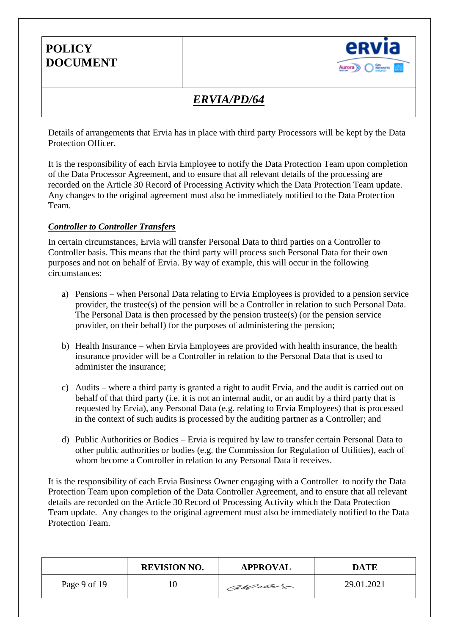

## *ERVIA/PD/64*

Details of arrangements that Ervia has in place with third party Processors will be kept by the Data Protection Officer.

It is the responsibility of each Ervia Employee to notify the Data Protection Team upon completion of the Data Processor Agreement, and to ensure that all relevant details of the processing are recorded on the Article 30 Record of Processing Activity which the Data Protection Team update. Any changes to the original agreement must also be immediately notified to the Data Protection Team.

### <span id="page-8-0"></span>*Controller to Controller Transfers*

In certain circumstances, Ervia will transfer Personal Data to third parties on a Controller to Controller basis. This means that the third party will process such Personal Data for their own purposes and not on behalf of Ervia. By way of example, this will occur in the following circumstances:

- a) Pensions when Personal Data relating to Ervia Employees is provided to a pension service provider, the trustee(s) of the pension will be a Controller in relation to such Personal Data. The Personal Data is then processed by the pension trustee(s) (or the pension service provider, on their behalf) for the purposes of administering the pension;
- b) Health Insurance when Ervia Employees are provided with health insurance, the health insurance provider will be a Controller in relation to the Personal Data that is used to administer the insurance;
- c) Audits where a third party is granted a right to audit Ervia, and the audit is carried out on behalf of that third party (i.e. it is not an internal audit, or an audit by a third party that is requested by Ervia), any Personal Data (e.g. relating to Ervia Employees) that is processed in the context of such audits is processed by the auditing partner as a Controller; and
- d) Public Authorities or Bodies Ervia is required by law to transfer certain Personal Data to other public authorities or bodies (e.g. the Commission for Regulation of Utilities), each of whom become a Controller in relation to any Personal Data it receives.

It is the responsibility of each Ervia Business Owner engaging with a Controller to notify the Data Protection Team upon completion of the Data Controller Agreement, and to ensure that all relevant details are recorded on the Article 30 Record of Processing Activity which the Data Protection Team update. Any changes to the original agreement must also be immediately notified to the Data Protection Team.

|              | <b>REVISION NO.</b> | <b>APPROVAL</b> | <b>DATE</b> |
|--------------|---------------------|-----------------|-------------|
| Page 9 of 19 | 10                  | CaMulage        | 29.01.2021  |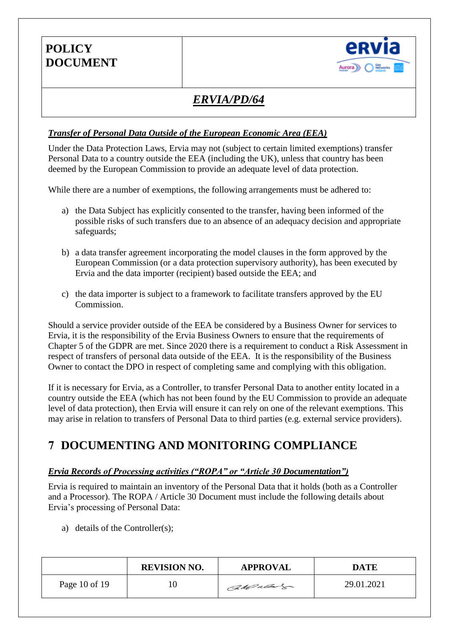

## *ERVIA/PD/64*

### <span id="page-9-0"></span>*Transfer of Personal Data Outside of the European Economic Area (EEA)*

Under the Data Protection Laws, Ervia may not (subject to certain limited exemptions) transfer Personal Data to a country outside the EEA (including the UK), unless that country has been deemed by the European Commission to provide an adequate level of data protection.

While there are a number of exemptions, the following arrangements must be adhered to:

- a) the Data Subject has explicitly consented to the transfer, having been informed of the possible risks of such transfers due to an absence of an adequacy decision and appropriate safeguards;
- b) a data transfer agreement incorporating the model clauses in the form approved by the European Commission (or a data protection supervisory authority), has been executed by Ervia and the data importer (recipient) based outside the EEA; and
- c) the data importer is subject to a framework to facilitate transfers approved by the EU Commission.

Should a service provider outside of the EEA be considered by a Business Owner for services to Ervia, it is the responsibility of the Ervia Business Owners to ensure that the requirements of Chapter 5 of the GDPR are met. Since 2020 there is a requirement to conduct a Risk Assessment in respect of transfers of personal data outside of the EEA. It is the responsibility of the Business Owner to contact the DPO in respect of completing same and complying with this obligation.

If it is necessary for Ervia, as a Controller, to transfer Personal Data to another entity located in a country outside the EEA (which has not been found by the EU Commission to provide an adequate level of data protection), then Ervia will ensure it can rely on one of the relevant exemptions. This may arise in relation to transfers of Personal Data to third parties (e.g. external service providers).

### <span id="page-9-1"></span>**7 DOCUMENTING AND MONITORING COMPLIANCE**

### <span id="page-9-2"></span>*Ervia Records of Processing activities ("ROPA" or "Article 30 Documentation")*

Ervia is required to maintain an inventory of the Personal Data that it holds (both as a Controller and a Processor). The ROPA / Article 30 Document must include the following details about Ervia's processing of Personal Data:

a) details of the Controller(s);

|               | <b>REVISION NO.</b> | <b>APPROVAL</b> | <b>DATE</b> |
|---------------|---------------------|-----------------|-------------|
| Page 10 of 19 | 10                  | CMulas          | 29.01.2021  |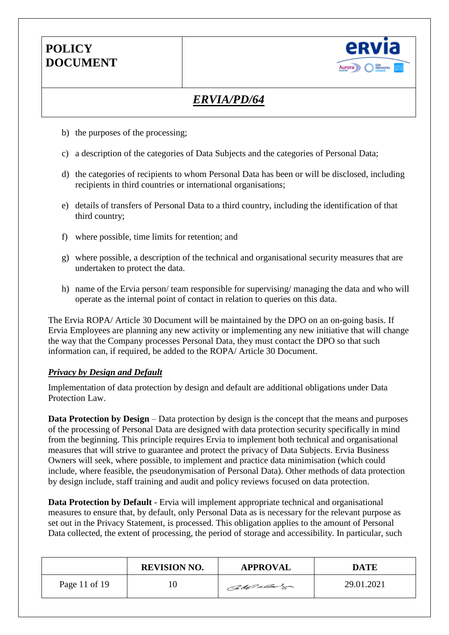

## *ERVIA/PD/64*

- b) the purposes of the processing;
- c) a description of the categories of Data Subjects and the categories of Personal Data;
- d) the categories of recipients to whom Personal Data has been or will be disclosed, including recipients in third countries or international organisations;
- e) details of transfers of Personal Data to a third country, including the identification of that third country;
- f) where possible, time limits for retention; and
- g) where possible, a description of the technical and organisational security measures that are undertaken to protect the data.
- h) name of the Ervia person/ team responsible for supervising/ managing the data and who will operate as the internal point of contact in relation to queries on this data.

The Ervia ROPA/ Article 30 Document will be maintained by the DPO on an on-going basis. If Ervia Employees are planning any new activity or implementing any new initiative that will change the way that the Company processes Personal Data, they must contact the DPO so that such information can, if required, be added to the ROPA/ Article 30 Document.

#### <span id="page-10-0"></span>*Privacy by Design and Default*

Implementation of data protection by design and default are additional obligations under Data Protection Law.

**Data Protection by Design** – Data protection by design is the concept that the means and purposes of the processing of Personal Data are designed with data protection security specifically in mind from the beginning. This principle requires Ervia to implement both technical and organisational measures that will strive to guarantee and protect the privacy of Data Subjects. Ervia Business Owners will seek, where possible, to implement and practice data minimisation (which could include, where feasible, the pseudonymisation of Personal Data). Other methods of data protection by design include, staff training and audit and policy reviews focused on data protection.

**Data Protection by Default** *-* Ervia will implement appropriate technical and organisational measures to ensure that, by default, only Personal Data as is necessary for the relevant purpose as set out in the Privacy Statement, is processed. This obligation applies to the amount of Personal Data collected, the extent of processing, the period of storage and accessibility. In particular, such

|               | <b>REVISION NO.</b> | <b>APPROVAL</b> | <b>DATE</b> |
|---------------|---------------------|-----------------|-------------|
| Page 11 of 19 | 10                  | CaMulage        | 29.01.2021  |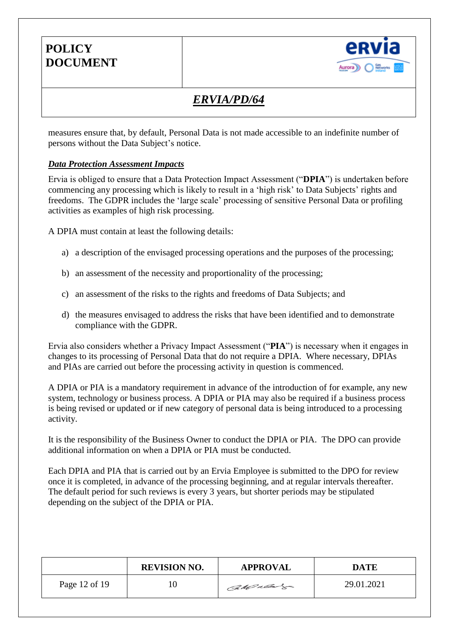

## *ERVIA/PD/64*

measures ensure that, by default, Personal Data is not made accessible to an indefinite number of persons without the Data Subject's notice.

#### <span id="page-11-0"></span>*Data Protection Assessment Impacts*

Ervia is obliged to ensure that a Data Protection Impact Assessment ("**DPIA**") is undertaken before commencing any processing which is likely to result in a 'high risk' to Data Subjects' rights and freedoms. The GDPR includes the 'large scale' processing of sensitive Personal Data or profiling activities as examples of high risk processing.

A DPIA must contain at least the following details:

- a) a description of the envisaged processing operations and the purposes of the processing;
- b) an assessment of the necessity and proportionality of the processing;
- c) an assessment of the risks to the rights and freedoms of Data Subjects; and
- d) the measures envisaged to address the risks that have been identified and to demonstrate compliance with the GDPR.

Ervia also considers whether a Privacy Impact Assessment ("**PIA**") is necessary when it engages in changes to its processing of Personal Data that do not require a DPIA. Where necessary, DPIAs and PIAs are carried out before the processing activity in question is commenced.

A DPIA or PIA is a mandatory requirement in advance of the introduction of for example, any new system, technology or business process. A DPIA or PIA may also be required if a business process is being revised or updated or if new category of personal data is being introduced to a processing activity.

It is the responsibility of the Business Owner to conduct the DPIA or PIA. The DPO can provide additional information on when a DPIA or PIA must be conducted.

Each DPIA and PIA that is carried out by an Ervia Employee is submitted to the DPO for review once it is completed, in advance of the processing beginning, and at regular intervals thereafter. The default period for such reviews is every 3 years, but shorter periods may be stipulated depending on the subject of the DPIA or PIA.

|               | <b>REVISION NO.</b> | <b>APPROVAL</b> | <b>DATE</b> |
|---------------|---------------------|-----------------|-------------|
| Page 12 of 19 | 10                  | CaMular         | 29.01.2021  |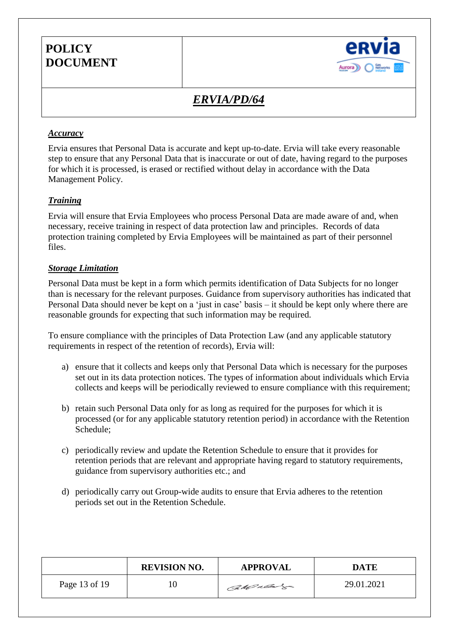

## *ERVIA/PD/64*

#### <span id="page-12-0"></span>*Accuracy*

Ervia ensures that Personal Data is accurate and kept up-to-date. Ervia will take every reasonable step to ensure that any Personal Data that is inaccurate or out of date, having regard to the purposes for which it is processed, is erased or rectified without delay in accordance with the Data Management Policy.

### <span id="page-12-1"></span>*Training*

Ervia will ensure that Ervia Employees who process Personal Data are made aware of and, when necessary, receive training in respect of data protection law and principles. Records of data protection training completed by Ervia Employees will be maintained as part of their personnel files.

#### <span id="page-12-2"></span>*Storage Limitation*

Personal Data must be kept in a form which permits identification of Data Subjects for no longer than is necessary for the relevant purposes. Guidance from supervisory authorities has indicated that Personal Data should never be kept on a 'just in case' basis – it should be kept only where there are reasonable grounds for expecting that such information may be required.

To ensure compliance with the principles of Data Protection Law (and any applicable statutory requirements in respect of the retention of records), Ervia will:

- a) ensure that it collects and keeps only that Personal Data which is necessary for the purposes set out in its data protection notices. The types of information about individuals which Ervia collects and keeps will be periodically reviewed to ensure compliance with this requirement;
- b) retain such Personal Data only for as long as required for the purposes for which it is processed (or for any applicable statutory retention period) in accordance with the Retention Schedule;
- c) periodically review and update the Retention Schedule to ensure that it provides for retention periods that are relevant and appropriate having regard to statutory requirements, guidance from supervisory authorities etc.; and
- d) periodically carry out Group-wide audits to ensure that Ervia adheres to the retention periods set out in the Retention Schedule.

|               | <b>REVISION NO.</b> | <b>APPROVAL</b> | <b>DATE</b> |
|---------------|---------------------|-----------------|-------------|
| Page 13 of 19 | 10                  | CaMulas         | 29.01.2021  |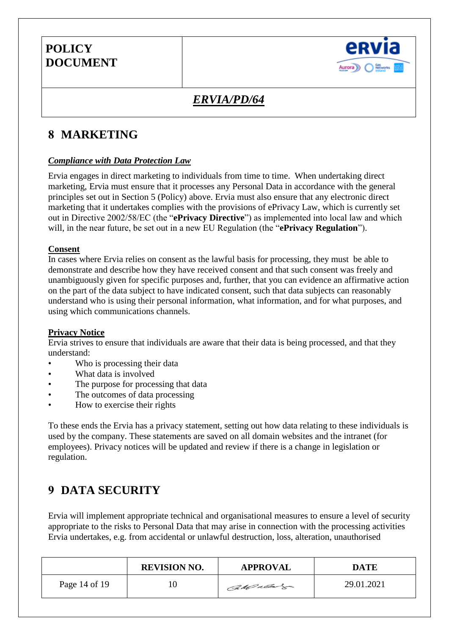

### *ERVIA/PD/64*

## <span id="page-13-0"></span>**8 MARKETING**

### <span id="page-13-1"></span>*Compliance with Data Protection Law*

Ervia engages in direct marketing to individuals from time to time. When undertaking direct marketing, Ervia must ensure that it processes any Personal Data in accordance with the general principles set out in Section 5 (Policy) above. Ervia must also ensure that any electronic direct marketing that it undertakes complies with the provisions of ePrivacy Law, which is currently set out in Directive 2002/58/EC (the "**ePrivacy Directive**") as implemented into local law and which will, in the near future, be set out in a new EU Regulation (the "**ePrivacy Regulation**").

#### <span id="page-13-2"></span>**Consent**

In cases where Ervia relies on consent as the lawful basis for processing, they must be able to demonstrate and describe how they have received consent and that such consent was freely and unambiguously given for specific purposes and, further, that you can evidence an affirmative action on the part of the data subject to have indicated consent, such that data subjects can reasonably understand who is using their personal information, what information, and for what purposes, and using which communications channels.

#### <span id="page-13-3"></span>**Privacy Notice**

Ervia strives to ensure that individuals are aware that their data is being processed, and that they understand:

- Who is processing their data
- What data is involved
- The purpose for processing that data
- The outcomes of data processing
- How to exercise their rights

To these ends the Ervia has a privacy statement, setting out how data relating to these individuals is used by the company. These statements are saved on all domain websites and the intranet (for employees). Privacy notices will be updated and review if there is a change in legislation or regulation.

### <span id="page-13-4"></span>**9 DATA SECURITY**

Ervia will implement appropriate technical and organisational measures to ensure a level of security appropriate to the risks to Personal Data that may arise in connection with the processing activities Ervia undertakes, e.g. from accidental or unlawful destruction, loss, alteration, unauthorised

|               | <b>REVISION NO.</b> | <b>APPROVAL</b> | DATE       |
|---------------|---------------------|-----------------|------------|
| Page 14 of 19 | 10                  | CaMulas         | 29.01.2021 |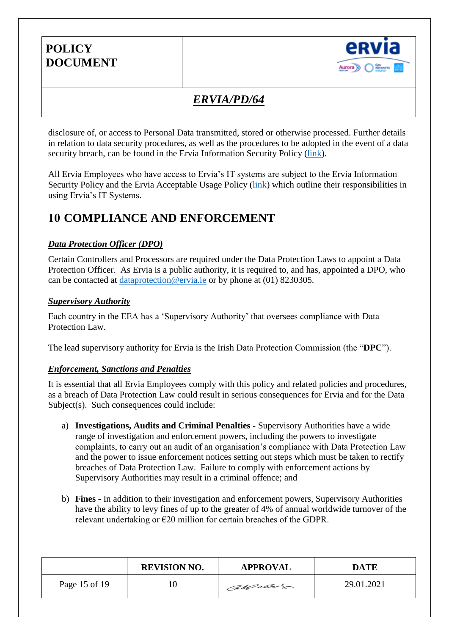

## *ERVIA/PD/64*

disclosure of, or access to Personal Data transmitted, stored or otherwise processed. Further details in relation to data security procedures, as well as the procedures to be adopted in the event of a data security breach, can be found in the Ervia Information Security Policy [\(link\)](http://thezone/Shared%20Documents/Corporate%20policies%202018/March/PD%2098%20-%20Information%20Security%20Incident%20Policy%20Rev%201%2013.03.2018.pdfhttp:/thezone/Shared%20Documents/Corporate%20policies%202018/March/PD%2098%20-%20Information%20Security%20Incident%20Policy%20Rev%201%2013.03.2018.pdf).

All Ervia Employees who have access to Ervia's IT systems are subject to the Ervia Information Security Policy and the Ervia Acceptable Usage Policy (*link*) which outline their responsibilities in using Ervia's IT Systems.

### <span id="page-14-0"></span>**10 COMPLIANCE AND ENFORCEMENT**

### <span id="page-14-1"></span>*Data Protection Officer (DPO)*

Certain Controllers and Processors are required under the Data Protection Laws to appoint a Data Protection Officer. As Ervia is a public authority, it is required to, and has, appointed a DPO, who can be contacted at [dataprotection@ervia.ie](mailto:dataprotection@ervia.ie) or by phone at (01) 8230305.

### <span id="page-14-2"></span>*Supervisory Authority*

Each country in the EEA has a 'Supervisory Authority' that oversees compliance with Data Protection Law.

The lead supervisory authority for Ervia is the Irish Data Protection Commission (the "**DPC**").

### <span id="page-14-3"></span>*Enforcement, Sanctions and Penalties*

It is essential that all Ervia Employees comply with this policy and related policies and procedures, as a breach of Data Protection Law could result in serious consequences for Ervia and for the Data Subject(s). Such consequences could include:

- a) **Investigations, Audits and Criminal Penalties -** Supervisory Authorities have a wide range of investigation and enforcement powers, including the powers to investigate complaints, to carry out an audit of an organisation's compliance with Data Protection Law and the power to issue enforcement notices setting out steps which must be taken to rectify breaches of Data Protection Law. Failure to comply with enforcement actions by Supervisory Authorities may result in a criminal offence; and
- b) **Fines -** In addition to their investigation and enforcement powers, Supervisory Authorities have the ability to levy fines of up to the greater of 4% of annual worldwide turnover of the relevant undertaking or €20 million for certain breaches of the GDPR.

|               | <b>REVISION NO.</b> | <b>APPROVAL</b> | <b>DATE</b> |
|---------------|---------------------|-----------------|-------------|
| Page 15 of 19 | 10                  | CaMular         | 29.01.2021  |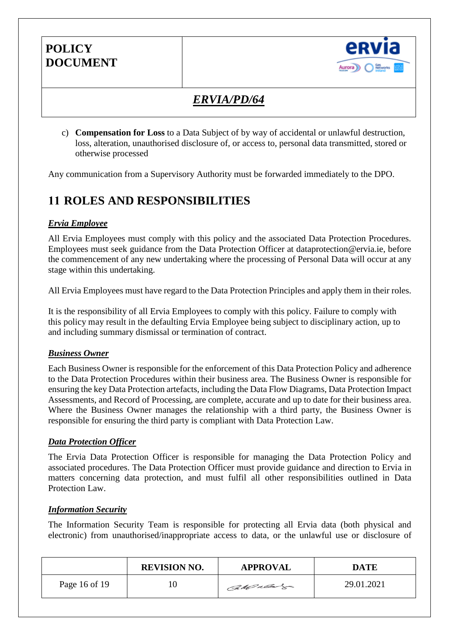

## *ERVIA/PD/64*

c) **Compensation for Loss** to a Data Subject of by way of accidental or unlawful destruction, loss, alteration, unauthorised disclosure of, or access to, personal data transmitted, stored or otherwise processed

Any communication from a Supervisory Authority must be forwarded immediately to the DPO.

### <span id="page-15-0"></span>**11 ROLES AND RESPONSIBILITIES**

### <span id="page-15-1"></span>*Ervia Employee*

All Ervia Employees must comply with this policy and the associated Data Protection Procedures. Employees must seek guidance from the Data Protection Officer at dataprotection@ervia.ie, before the commencement of any new undertaking where the processing of Personal Data will occur at any stage within this undertaking.

All Ervia Employees must have regard to the Data Protection Principles and apply them in their roles.

It is the responsibility of all Ervia Employees to comply with this policy. Failure to comply with this policy may result in the defaulting Ervia Employee being subject to disciplinary action, up to and including summary dismissal or termination of contract.

#### <span id="page-15-2"></span>*Business Owner*

Each Business Owner is responsible for the enforcement of this Data Protection Policy and adherence to the Data Protection Procedures within their business area. The Business Owner is responsible for ensuring the key Data Protection artefacts, including the Data Flow Diagrams, Data Protection Impact Assessments, and Record of Processing, are complete, accurate and up to date for their business area. Where the Business Owner manages the relationship with a third party, the Business Owner is responsible for ensuring the third party is compliant with Data Protection Law.

#### <span id="page-15-3"></span>*Data Protection Officer*

The Ervia Data Protection Officer is responsible for managing the Data Protection Policy and associated procedures. The Data Protection Officer must provide guidance and direction to Ervia in matters concerning data protection, and must fulfil all other responsibilities outlined in Data Protection Law.

#### <span id="page-15-4"></span>*Information Security*

The Information Security Team is responsible for protecting all Ervia data (both physical and electronic) from unauthorised/inappropriate access to data, or the unlawful use or disclosure of

|               | <b>REVISION NO.</b> | <b>APPROVAL</b> | <b>DATE</b> |
|---------------|---------------------|-----------------|-------------|
| Page 16 of 19 | 10                  | CaMulage        | 29.01.2021  |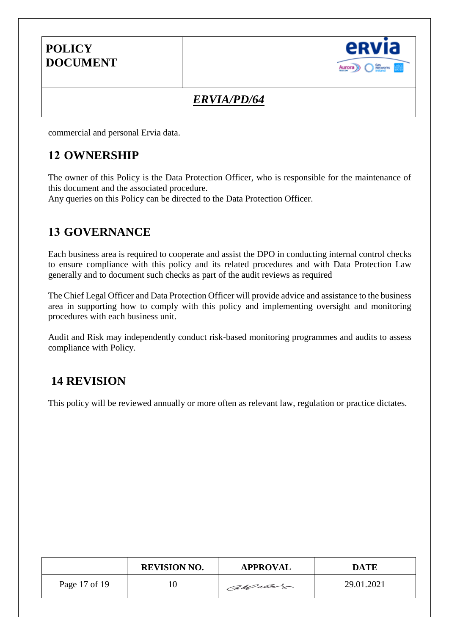

## *ERVIA/PD/64*

commercial and personal Ervia data.

### <span id="page-16-0"></span>**12 OWNERSHIP**

The owner of this Policy is the Data Protection Officer, who is responsible for the maintenance of this document and the associated procedure.

Any queries on this Policy can be directed to the Data Protection Officer.

### <span id="page-16-1"></span>**13 GOVERNANCE**

Each business area is required to cooperate and assist the DPO in conducting internal control checks to ensure compliance with this policy and its related procedures and with Data Protection Law generally and to document such checks as part of the audit reviews as required

The Chief Legal Officer and Data Protection Officer will provide advice and assistance to the business area in supporting how to comply with this policy and implementing oversight and monitoring procedures with each business unit.

Audit and Risk may independently conduct risk-based monitoring programmes and audits to assess compliance with Policy.

### <span id="page-16-2"></span>**14 REVISION**

This policy will be reviewed annually or more often as relevant law, regulation or practice dictates.

|               | <b>REVISION NO.</b> | <b>APPROVAL</b> | <b>DATE</b> |
|---------------|---------------------|-----------------|-------------|
| Page 17 of 19 | 10                  | CaMulage        | 29.01.2021  |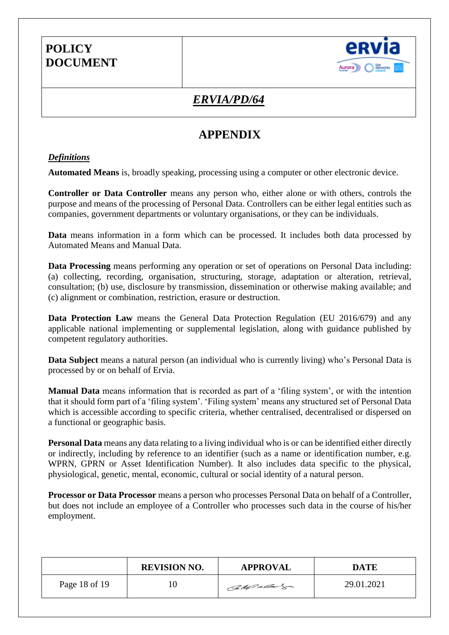

## *ERVIA/PD/64*

### **APPENDIX**

#### <span id="page-17-0"></span>*Definitions*

**Automated Means** is, broadly speaking, processing using a computer or other electronic device.

**Controller or Data Controller** means any person who, either alone or with others, controls the purpose and means of the processing of Personal Data. Controllers can be either legal entities such as companies, government departments or voluntary organisations, or they can be individuals.

**Data** means information in a form which can be processed. It includes both data processed by Automated Means and Manual Data.

**Data Processing** means performing any operation or set of operations on Personal Data including: (a) collecting, recording, organisation, structuring, storage, adaptation or alteration, retrieval, consultation; (b) use, disclosure by transmission, dissemination or otherwise making available; and (c) alignment or combination, restriction, erasure or destruction.

**Data Protection Law** means the General Data Protection Regulation (EU 2016/679) and any applicable national implementing or supplemental legislation, along with guidance published by competent regulatory authorities.

**Data Subject** means a natural person (an individual who is currently living) who's Personal Data is processed by or on behalf of Ervia.

**Manual Data** means information that is recorded as part of a 'filing system', or with the intention that it should form part of a 'filing system'. 'Filing system' means any structured set of Personal Data which is accessible according to specific criteria, whether centralised, decentralised or dispersed on a functional or geographic basis.

**Personal Data** means any data relating to a living individual who is or can be identified either directly or indirectly, including by reference to an identifier (such as a name or identification number, e.g. WPRN, GPRN or Asset Identification Number). It also includes data specific to the physical, physiological, genetic, mental, economic, cultural or social identity of a natural person.

**Processor or Data Processor** means a person who processes Personal Data on behalf of a Controller, but does not include an employee of a Controller who processes such data in the course of his/her employment.

|               | <b>REVISION NO.</b> | <b>APPROVAL</b> | <b>DATE</b> |
|---------------|---------------------|-----------------|-------------|
| Page 18 of 19 | 10                  | CaMulage        | 29.01.2021  |